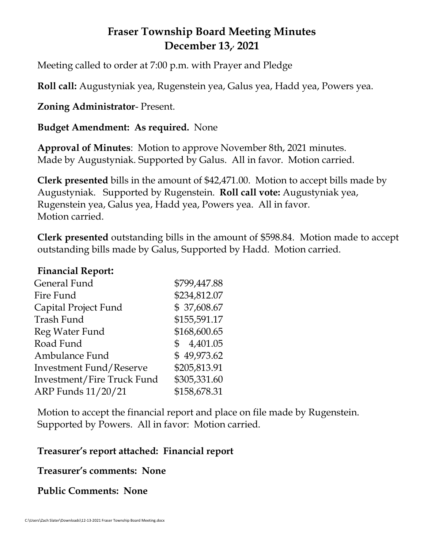# **Fraser Township Board Meeting Minutes December 13,, 2021**

Meeting called to order at 7:00 p.m. with Prayer and Pledge

**Roll call:** Augustyniak yea, Rugenstein yea, Galus yea, Hadd yea, Powers yea.

**Zoning Administrator**- Present.

**Budget Amendment: As required.** None

**Approval of Minutes**: Motion to approve November 8th, 2021 minutes. Made by Augustyniak. Supported by Galus. All in favor. Motion carried.

**Clerk presented** bills in the amount of \$42,471.00. Motion to accept bills made by Augustyniak. Supported by Rugenstein. **Roll call vote:** Augustyniak yea, Rugenstein yea, Galus yea, Hadd yea, Powers yea. All in favor. Motion carried.

**Clerk presented** outstanding bills in the amount of \$598.84. Motion made to accept outstanding bills made by Galus, Supported by Hadd. Motion carried.

#### **Financial Report:**

| General Fund                      | \$799,447.88 |
|-----------------------------------|--------------|
| Fire Fund                         | \$234,812.07 |
| Capital Project Fund              | \$37,608.67  |
| Trash Fund                        | \$155,591.17 |
| Reg Water Fund                    | \$168,600.65 |
| Road Fund                         | \$4,401.05   |
| Ambulance Fund                    | \$49,973.62  |
| <b>Investment Fund/Reserve</b>    | \$205,813.91 |
| <b>Investment/Fire Truck Fund</b> | \$305,331.60 |
| ARP Funds 11/20/21                | \$158,678.31 |

Motion to accept the financial report and place on file made by Rugenstein. Supported by Powers. All in favor: Motion carried.

### **Treasurer's report attached: Financial report**

**Treasurer's comments: None**

**Public Comments: None**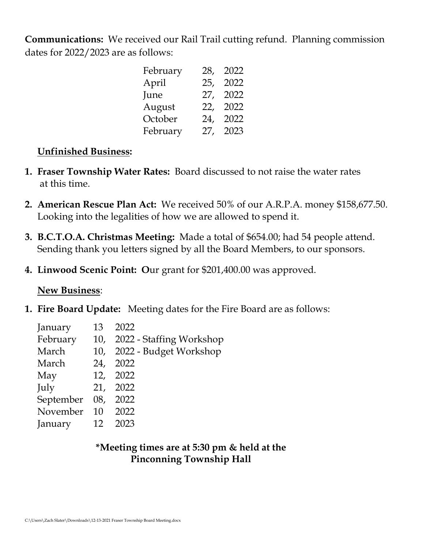**Communications:** We received our Rail Trail cutting refund. Planning commission dates for 2022/2023 are as follows:

| February | 28, | 2022 |
|----------|-----|------|
| April    | 25, | 2022 |
| June     | 27, | 2022 |
| August   | 22, | 2022 |
| October  | 24, | 2022 |
| February | 27, | 2023 |

### **Unfinished Business:**

- **1. Fraser Township Water Rates:** Board discussed to not raise the water rates at this time.
- **2. American Rescue Plan Act:** We received 50% of our A.R.P.A. money \$158,677.50. Looking into the legalities of how we are allowed to spend it.
- **3. B.C.T.O.A. Christmas Meeting:** Made a total of \$654.00; had 54 people attend. Sending thank you letters signed by all the Board Members, to our sponsors.
- **4. Linwood Scenic Point: O**ur grant for \$201,400.00 was approved.

### **New Business**:

**1. Fire Board Update:** Meeting dates for the Fire Board are as follows:

| January   | 13  | 2022                         |
|-----------|-----|------------------------------|
| February  |     | 10, 2022 - Staffing Workshop |
| March     |     | 10, 2022 - Budget Workshop   |
| March     | 24, | 2022                         |
| May       |     | 12, 2022                     |
| July      | 21, | 2022                         |
| September | 08, | 2022                         |
| November  | 10  | 2022                         |
| January   | 12  | 2023                         |
|           |     |                              |

## **\*Meeting times are at 5:30 pm & held at the Pinconning Township Hall**